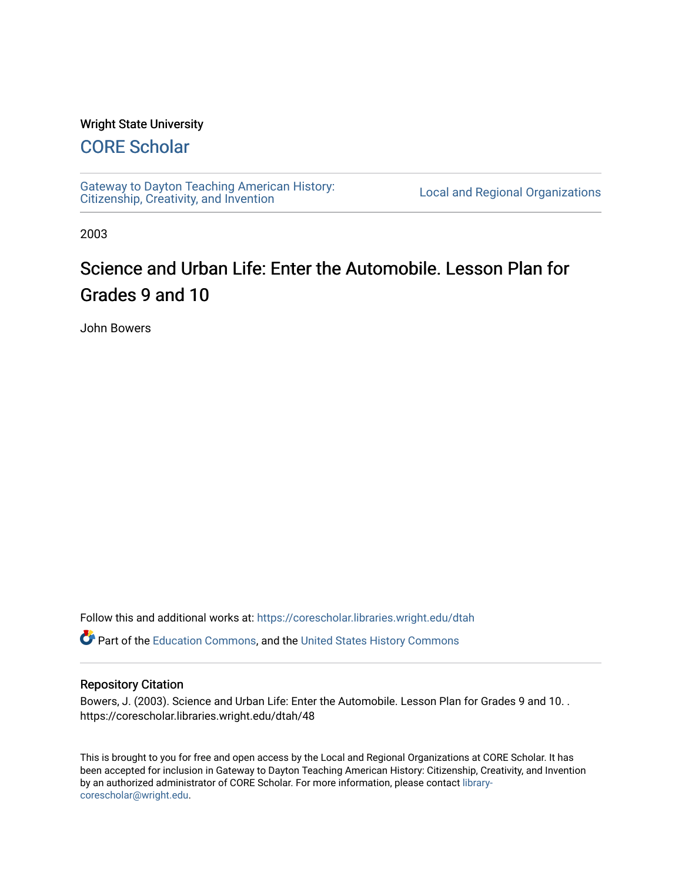#### Wright State University

## [CORE Scholar](https://corescholar.libraries.wright.edu/)

[Gateway to Dayton Teaching American History:](https://corescholar.libraries.wright.edu/dtah)  Gateway to Dayton Teaching American History.<br>[Citizenship, Creativity, and Invention](https://corescholar.libraries.wright.edu/dtah) Listory Local and Regional Organizations

2003

# Science and Urban Life: Enter the Automobile. Lesson Plan for Grades 9 and 10

John Bowers

Follow this and additional works at: [https://corescholar.libraries.wright.edu/dtah](https://corescholar.libraries.wright.edu/dtah?utm_source=corescholar.libraries.wright.edu%2Fdtah%2F48&utm_medium=PDF&utm_campaign=PDFCoverPages)

Part of the [Education Commons](http://network.bepress.com/hgg/discipline/784?utm_source=corescholar.libraries.wright.edu%2Fdtah%2F48&utm_medium=PDF&utm_campaign=PDFCoverPages), and the [United States History Commons](http://network.bepress.com/hgg/discipline/495?utm_source=corescholar.libraries.wright.edu%2Fdtah%2F48&utm_medium=PDF&utm_campaign=PDFCoverPages) 

#### Repository Citation

Bowers, J. (2003). Science and Urban Life: Enter the Automobile. Lesson Plan for Grades 9 and 10. . https://corescholar.libraries.wright.edu/dtah/48

This is brought to you for free and open access by the Local and Regional Organizations at CORE Scholar. It has been accepted for inclusion in Gateway to Dayton Teaching American History: Citizenship, Creativity, and Invention by an authorized administrator of CORE Scholar. For more information, please contact [library](mailto:library-corescholar@wright.edu)[corescholar@wright.edu](mailto:library-corescholar@wright.edu).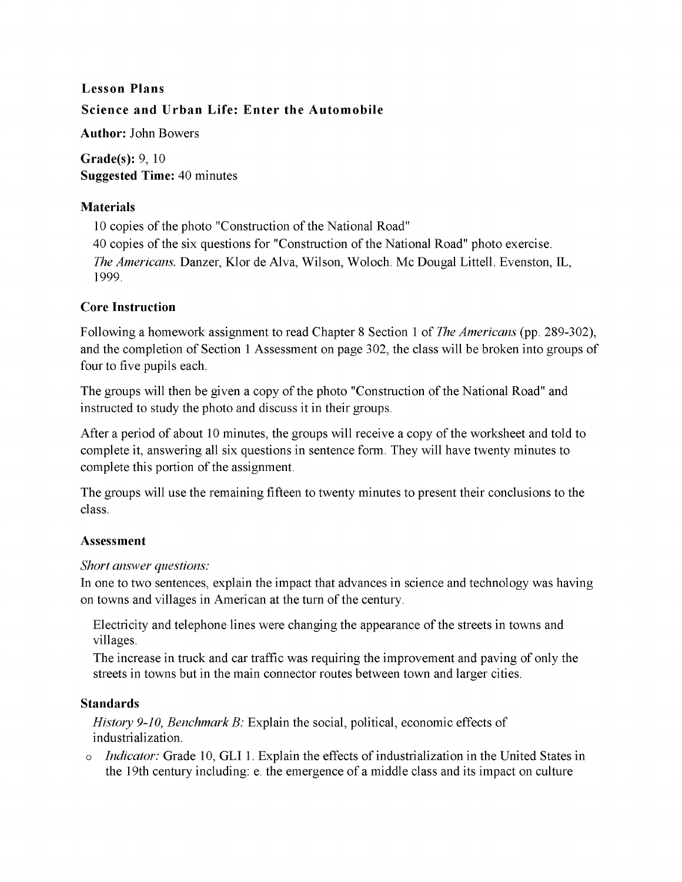# **Lesson Plans Science and Urban Life: Enter the Automobile**

**Author: John** Bowers

**Grade(s):** 9, 10 **Suggested Time:** 40 minutes

#### **Materials**

10 copies of the photo "Construction of the National Road" 40 copies of the six questions for "Construction of the National Road" photo exercise. *The Americans.* Danzer, Klor de Alva, Wilson, Woloch. Mc Dougal Littell. Evenston, IL, 1999.

### **Core Instruction**

Following a homework assignment to read Chapter 8 Section 1 of *The Americans* (pp. 289-302), and the completion of Section 1 Assessment on page 302, the class will be broken into groups of four to five pupils each.

The groups will then be given a copy of the photo "Construction of the National Road" and instructed to study the photo and discuss it in their groups.

After a period of about 10 minutes, the groups will receive a copy of the worksheet and told to complete it, answering all six questions in sentence form. They will have twenty minutes to complete this portion of the assignment.

The groups will use the remaining fifteen to twenty minutes to present their conclusions to the class.

#### **Assessment**

#### *Short answer questions:*

**In** one to two sentences, explain the impact that advances in science and technology was having on towns and villages in American at the turn of the century.

Electricity and telephone lines were changing the appearance of the streets in towns and villages.

The increase in truck and car traffic was requiring the improvement and paving of only the streets in towns but in the main connector routes between town and larger cities.

### **Standards**

*History 9-10, Benchmark B:* Explain the social, political, economic effects of industrialization.

o *Indicator:* Grade 10, **GLI** 1. Explain the effects of industrialization in the United States in the 19th century including: e. the emergence of a middle class and its impact on culture